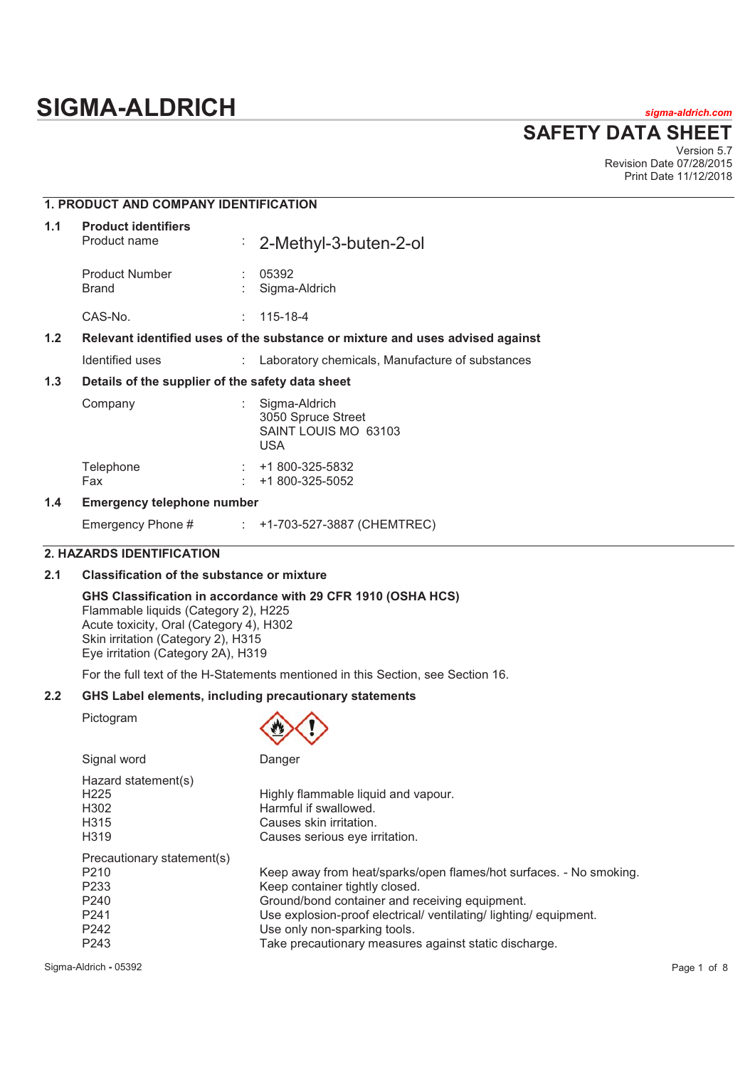# **SIGMA-ALDRICH** *sigma-aldrich.com*

**SAFETY DATA SHEET**

Version 5.7 Revision Date 07/28/2015 Print Date 11/12/2018

|                  | <b>1. PRODUCT AND COMPANY IDENTIFICATION</b>                                  |                |                                                                           |  |  |
|------------------|-------------------------------------------------------------------------------|----------------|---------------------------------------------------------------------------|--|--|
| 1.1              | <b>Product identifiers</b><br>Product name                                    |                | $\frac{1}{2}$ 2-Methyl-3-buten-2-ol                                       |  |  |
|                  | <b>Product Number</b><br>Brand                                                |                | 05392<br>Sigma-Aldrich                                                    |  |  |
|                  | CAS-No.                                                                       |                | $: 115 - 18 - 4$                                                          |  |  |
| 1.2 <sub>2</sub> | Relevant identified uses of the substance or mixture and uses advised against |                |                                                                           |  |  |
|                  | Identified uses                                                               |                | : Laboratory chemicals, Manufacture of substances                         |  |  |
| 1.3              | Details of the supplier of the safety data sheet                              |                |                                                                           |  |  |
|                  | Company                                                                       |                | Sigma-Aldrich<br>3050 Spruce Street<br>SAINT LOUIS MO 63103<br><b>USA</b> |  |  |
|                  | Telephone<br>Fax                                                              | ÷.<br><b>A</b> | +1 800-325-5832<br>+1 800-325-5052                                        |  |  |
| 1 A              | Emergenev telephone number                                                    |                |                                                                           |  |  |

## **1.4 Emergency telephone number**

Emergency Phone # : +1-703-527-3887 (CHEMTREC)

# **2. HAZARDS IDENTIFICATION**

# **2.1 Classification of the substance or mixture**

## **GHS Classification in accordance with 29 CFR 1910 (OSHA HCS)**

Flammable liquids (Category 2), H225 Acute toxicity, Oral (Category 4), H302 Skin irritation (Category 2), H315 Eye irritation (Category 2A), H319

For the full text of the H-Statements mentioned in this Section, see Section 16.

# **2.2 GHS Label elements, including precautionary statements**

Pictogram



| Signal word                                                                                                                                        | Danger                                                                                                                                                                                                                                                                                                               |
|----------------------------------------------------------------------------------------------------------------------------------------------------|----------------------------------------------------------------------------------------------------------------------------------------------------------------------------------------------------------------------------------------------------------------------------------------------------------------------|
| Hazard statement(s)<br>H <sub>225</sub><br>H <sub>302</sub><br>H <sub>315</sub><br>H <sub>3</sub> 19                                               | Highly flammable liquid and vapour.<br>Harmful if swallowed.<br>Causes skin irritation.<br>Causes serious eye irritation.                                                                                                                                                                                            |
| Precautionary statement(s)<br>P <sub>210</sub><br>P <sub>233</sub><br>P <sub>240</sub><br>P <sub>241</sub><br>P <sub>242</sub><br>P <sub>243</sub> | Keep away from heat/sparks/open flames/hot surfaces. - No smoking.<br>Keep container tightly closed.<br>Ground/bond container and receiving equipment.<br>Use explosion-proof electrical/ ventilating/ lighting/ equipment.<br>Use only non-sparking tools.<br>Take precautionary measures against static discharge. |

Sigma-Aldrich **-** 05392 Page 1 of 8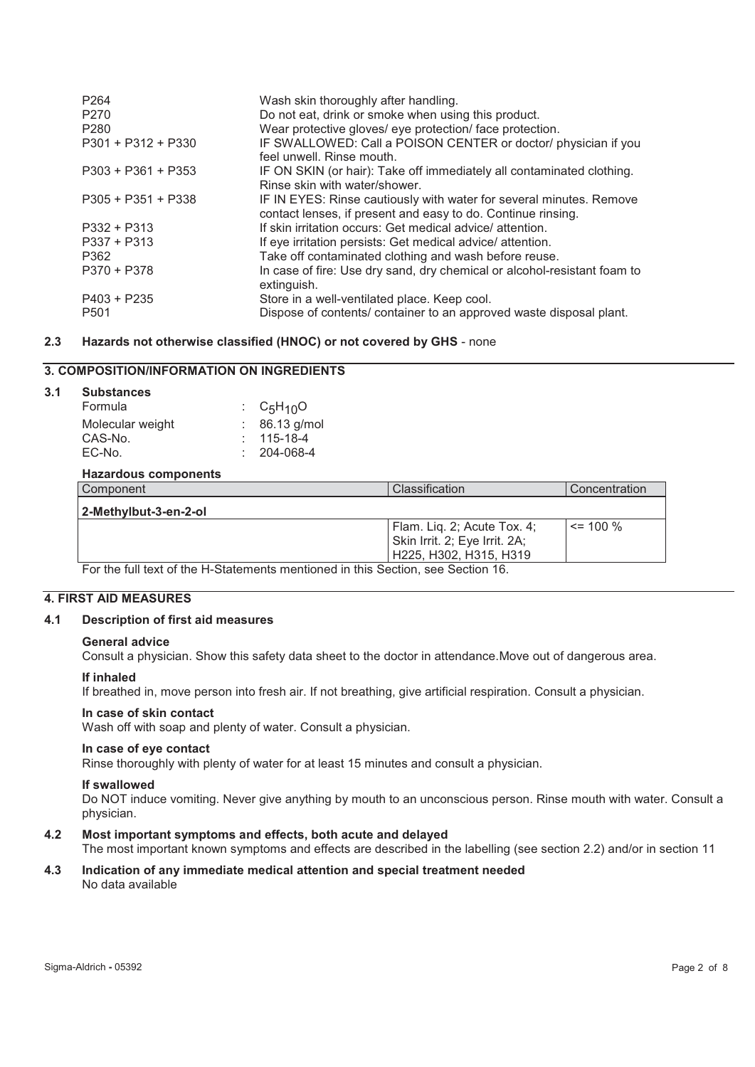| P <sub>264</sub><br>P <sub>270</sub><br>P <sub>280</sub> | Wash skin thoroughly after handling.<br>Do not eat, drink or smoke when using this product.<br>Wear protective gloves/ eye protection/ face protection. |
|----------------------------------------------------------|---------------------------------------------------------------------------------------------------------------------------------------------------------|
| $P301 + P312 + P330$                                     | IF SWALLOWED: Call a POISON CENTER or doctor/ physician if you<br>feel unwell. Rinse mouth.                                                             |
| $P303 + P361 + P353$                                     | IF ON SKIN (or hair): Take off immediately all contaminated clothing.<br>Rinse skin with water/shower.                                                  |
| $P305 + P351 + P338$                                     | IF IN EYES: Rinse cautiously with water for several minutes. Remove<br>contact lenses, if present and easy to do. Continue rinsing.                     |
| $P332 + P313$                                            | If skin irritation occurs: Get medical advice/attention.                                                                                                |
| $P337 + P313$                                            | If eye irritation persists: Get medical advice/attention.                                                                                               |
| P362                                                     | Take off contaminated clothing and wash before reuse.                                                                                                   |
| P370 + P378                                              | In case of fire: Use dry sand, dry chemical or alcohol-resistant foam to<br>extinguish.                                                                 |
| $P403 + P235$                                            | Store in a well-ventilated place. Keep cool.                                                                                                            |
| P <sub>501</sub>                                         | Dispose of contents/ container to an approved waste disposal plant.                                                                                     |

## **2.3 Hazards not otherwise classified (HNOC) or not covered by GHS** - none

# **3. COMPOSITION/INFORMATION ON INGREDIENTS**

## **3.1 Substances**

| Formula          | : $C_5H_{10}O$    |
|------------------|-------------------|
| Molecular weight | $: 86.13$ g/mol   |
| CAS-No.          | $: 115 - 18 - 4$  |
| EC-No.           | $: 204 - 068 - 4$ |

## **Hazardous components**

| Component             | Classification                                                                         | Concentration |
|-----------------------|----------------------------------------------------------------------------------------|---------------|
| 2-Methvlbut-3-en-2-ol |                                                                                        |               |
|                       | Flam. Lig. 2; Acute Tox. 4;<br>Skin Irrit. 2; Eye Irrit. 2A;<br>H225, H302, H315, H319 | $\le$ 100 %   |

For the full text of the H-Statements mentioned in this Section, see Section 16.

## **4. FIRST AID MEASURES**

## **4.1 Description of first aid measures**

#### **General advice**

Consult a physician. Show this safety data sheet to the doctor in attendance.Move out of dangerous area.

#### **If inhaled**

If breathed in, move person into fresh air. If not breathing, give artificial respiration. Consult a physician.

#### **In case of skin contact**

Wash off with soap and plenty of water. Consult a physician.

#### **In case of eye contact**

Rinse thoroughly with plenty of water for at least 15 minutes and consult a physician.

#### **If swallowed**

Do NOT induce vomiting. Never give anything by mouth to an unconscious person. Rinse mouth with water. Consult a physician.

#### **4.2 Most important symptoms and effects, both acute and delayed**

The most important known symptoms and effects are described in the labelling (see section 2.2) and/or in section 11

## **4.3 Indication of any immediate medical attention and special treatment needed**  No data available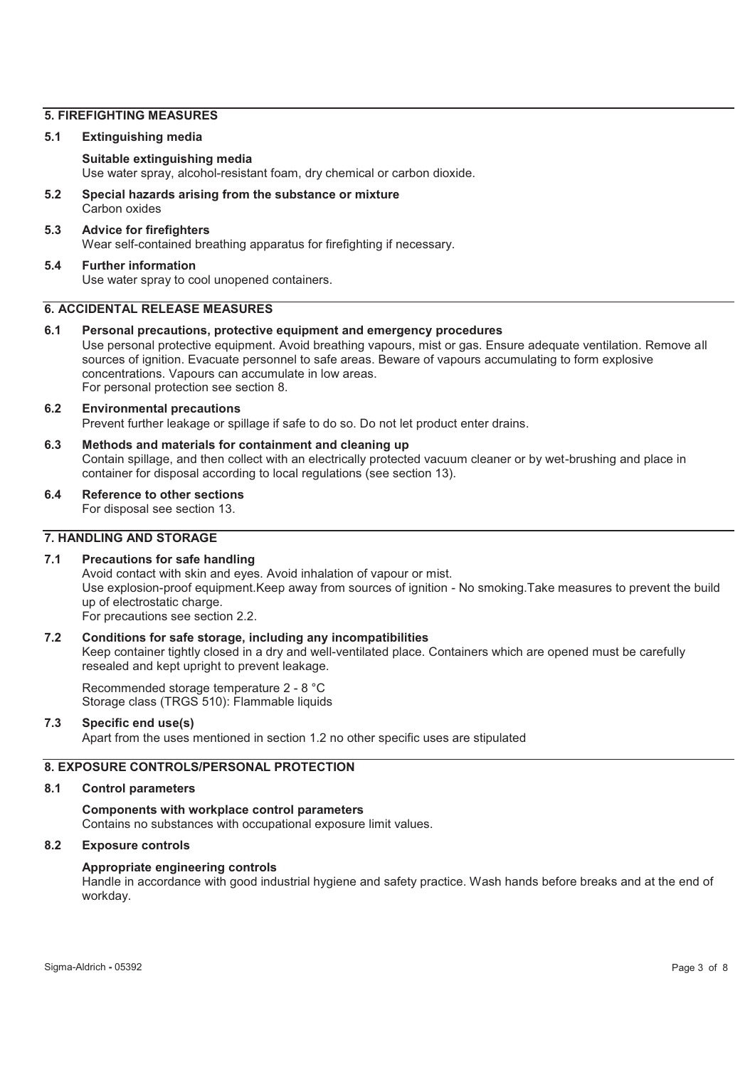## **5. FIREFIGHTING MEASURES**

## **5.1 Extinguishing media**

## **Suitable extinguishing media**

Use water spray, alcohol-resistant foam, dry chemical or carbon dioxide.

**5.2 Special hazards arising from the substance or mixture**  Carbon oxides

## **5.3 Advice for firefighters**  Wear self-contained breathing apparatus for firefighting if necessary.

#### **5.4 Further information**  Use water spray to cool unopened containers.

## **6. ACCIDENTAL RELEASE MEASURES**

**6.1 Personal precautions, protective equipment and emergency procedures**  Use personal protective equipment. Avoid breathing vapours, mist or gas. Ensure adequate ventilation. Remove all sources of ignition. Evacuate personnel to safe areas. Beware of vapours accumulating to form explosive concentrations. Vapours can accumulate in low areas. For personal protection see section 8.

## **6.2 Environmental precautions**

Prevent further leakage or spillage if safe to do so. Do not let product enter drains.

- **6.3 Methods and materials for containment and cleaning up**  Contain spillage, and then collect with an electrically protected vacuum cleaner or by wet-brushing and place in container for disposal according to local regulations (see section 13).
- **6.4 Reference to other sections**

For disposal see section 13.

# **7. HANDLING AND STORAGE**

## **7.1 Precautions for safe handling**

Avoid contact with skin and eyes. Avoid inhalation of vapour or mist. Use explosion-proof equipment.Keep away from sources of ignition - No smoking.Take measures to prevent the build up of electrostatic charge. For precautions see section 2.2.

## **7.2 Conditions for safe storage, including any incompatibilities**

Keep container tightly closed in a dry and well-ventilated place. Containers which are opened must be carefully resealed and kept upright to prevent leakage.

Recommended storage temperature 2 - 8 °C Storage class (TRGS 510): Flammable liquids

## **7.3 Specific end use(s)**

Apart from the uses mentioned in section 1.2 no other specific uses are stipulated

## **8. EXPOSURE CONTROLS/PERSONAL PROTECTION**

#### **8.1 Control parameters**

## **Components with workplace control parameters**

Contains no substances with occupational exposure limit values.

## **8.2 Exposure controls**

#### **Appropriate engineering controls**

Handle in accordance with good industrial hygiene and safety practice. Wash hands before breaks and at the end of workday.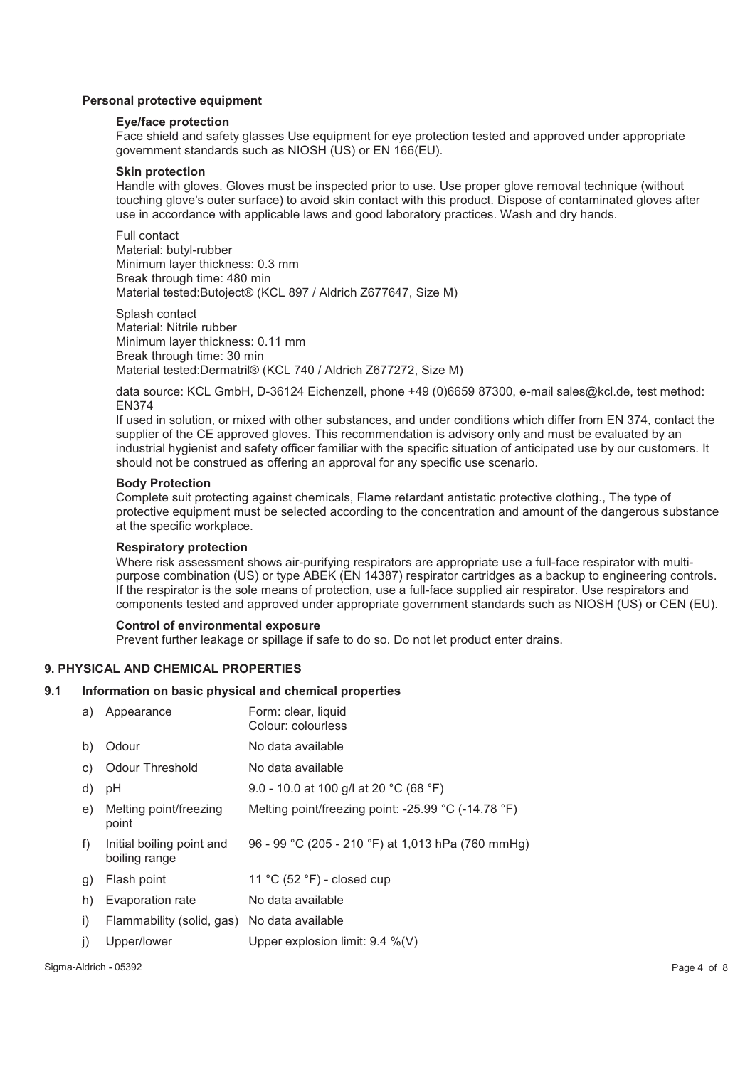## **Personal protective equipment**

## **Eye/face protection**

Face shield and safety glasses Use equipment for eye protection tested and approved under appropriate government standards such as NIOSH (US) or EN 166(EU).

#### **Skin protection**

Handle with gloves. Gloves must be inspected prior to use. Use proper glove removal technique (without touching glove's outer surface) to avoid skin contact with this product. Dispose of contaminated gloves after use in accordance with applicable laws and good laboratory practices. Wash and dry hands.

Full contact Material: butyl-rubber Minimum layer thickness: 0.3 mm Break through time: 480 min Material tested:Butoject® (KCL 897 / Aldrich Z677647, Size M)

Splash contact Material: Nitrile rubber Minimum layer thickness: 0.11 mm Break through time: 30 min Material tested:Dermatril® (KCL 740 / Aldrich Z677272, Size M)

data source: KCL GmbH, D-36124 Eichenzell, phone +49 (0)6659 87300, e-mail sales@kcl.de, test method: EN374

If used in solution, or mixed with other substances, and under conditions which differ from EN 374, contact the supplier of the CE approved gloves. This recommendation is advisory only and must be evaluated by an industrial hygienist and safety officer familiar with the specific situation of anticipated use by our customers. It should not be construed as offering an approval for any specific use scenario.

#### **Body Protection**

Complete suit protecting against chemicals, Flame retardant antistatic protective clothing., The type of protective equipment must be selected according to the concentration and amount of the dangerous substance at the specific workplace.

## **Respiratory protection**

Where risk assessment shows air-purifying respirators are appropriate use a full-face respirator with multipurpose combination (US) or type ABEK (EN 14387) respirator cartridges as a backup to engineering controls. If the respirator is the sole means of protection, use a full-face supplied air respirator. Use respirators and components tested and approved under appropriate government standards such as NIOSH (US) or CEN (EU).

#### **Control of environmental exposure**

Prevent further leakage or spillage if safe to do so. Do not let product enter drains.

## **9. PHYSICAL AND CHEMICAL PROPERTIES**

## **9.1 Information on basic physical and chemical properties**

| a)           | Appearance                                  | Form: clear, liquid<br>Colour: colourless           |
|--------------|---------------------------------------------|-----------------------------------------------------|
| b)           | Odour                                       | No data available                                   |
| C)           | <b>Odour Threshold</b>                      | No data available                                   |
| d)           | рH                                          | 9.0 - 10.0 at 100 g/l at 20 °C (68 °F)              |
| e)           | Melting point/freezing<br>point             | Melting point/freezing point: -25.99 °C (-14.78 °F) |
| f)           | Initial boiling point and<br>boiling range  | 96 - 99 °C (205 - 210 °F) at 1,013 hPa (760 mmHg)   |
| $\mathbf{g}$ | Flash point                                 | 11 °C $(52 \text{ }^{\circ}\text{F})$ - closed cup  |
| h)           | Evaporation rate                            | No data available                                   |
| i)           | Flammability (solid, gas) No data available |                                                     |
| $_{\rm J}$   | Upper/lower                                 | Upper explosion limit: $9.4 \%$ (V)                 |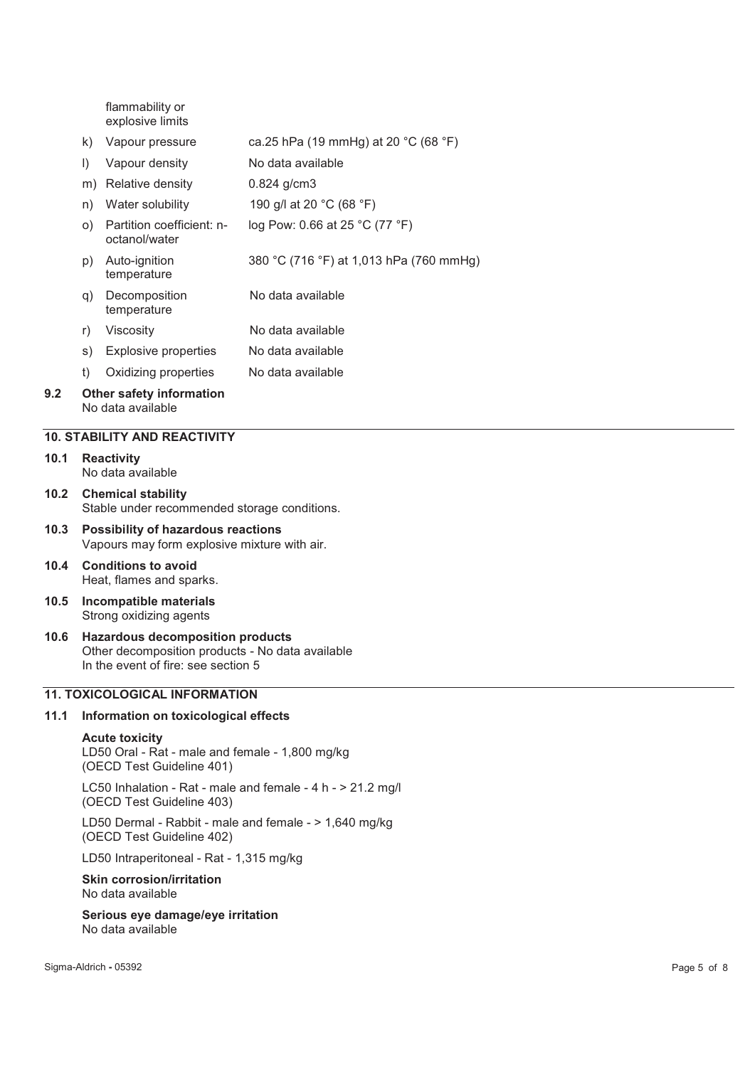flammability or explosive limits

|     | k)      | Vapour pressure                                      | ca.25 hPa (19 mmHg) at 20 °C (68 °F)    |
|-----|---------|------------------------------------------------------|-----------------------------------------|
|     | $\vert$ | Vapour density                                       | No data available                       |
|     | m)      | Relative density                                     | $0.824$ g/cm3                           |
|     | n)      | Water solubility                                     | 190 g/l at 20 °C (68 °F)                |
|     | O)      | Partition coefficient: n-<br>octanol/water           | log Pow: 0.66 at 25 °C (77 °F)          |
|     | p)      | Auto-ignition<br>temperature                         | 380 °C (716 °F) at 1,013 hPa (760 mmHg) |
|     | q)      | Decomposition<br>temperature                         | No data available                       |
|     | r)      | Viscositv                                            | No data available                       |
|     | s)      | <b>Explosive properties</b>                          | No data available                       |
|     | t)      | Oxidizing properties                                 | No data available                       |
| 9.2 |         | <b>Other safety information</b><br>No data available |                                         |

## **10. STABILITY AND REACTIVITY**

- **10.1 Reactivity**  No data available
- **10.2 Chemical stability**  Stable under recommended storage conditions.
- **10.3 Possibility of hazardous reactions**  Vapours may form explosive mixture with air.
- **10.4 Conditions to avoid**  Heat, flames and sparks.
- **10.5 Incompatible materials**  Strong oxidizing agents
- **10.6 Hazardous decomposition products**  Other decomposition products - No data available In the event of fire: see section 5

# **11. TOXICOLOGICAL INFORMATION**

## **11.1 Information on toxicological effects**

#### **Acute toxicity**

LD50 Oral - Rat - male and female - 1,800 mg/kg (OECD Test Guideline 401)

LC50 Inhalation - Rat - male and female - 4 h - > 21.2 mg/l (OECD Test Guideline 403)

LD50 Dermal - Rabbit - male and female - > 1,640 mg/kg (OECD Test Guideline 402)

LD50 Intraperitoneal - Rat - 1,315 mg/kg

#### **Skin corrosion/irritation**  No data available

**Serious eye damage/eye irritation**  No data available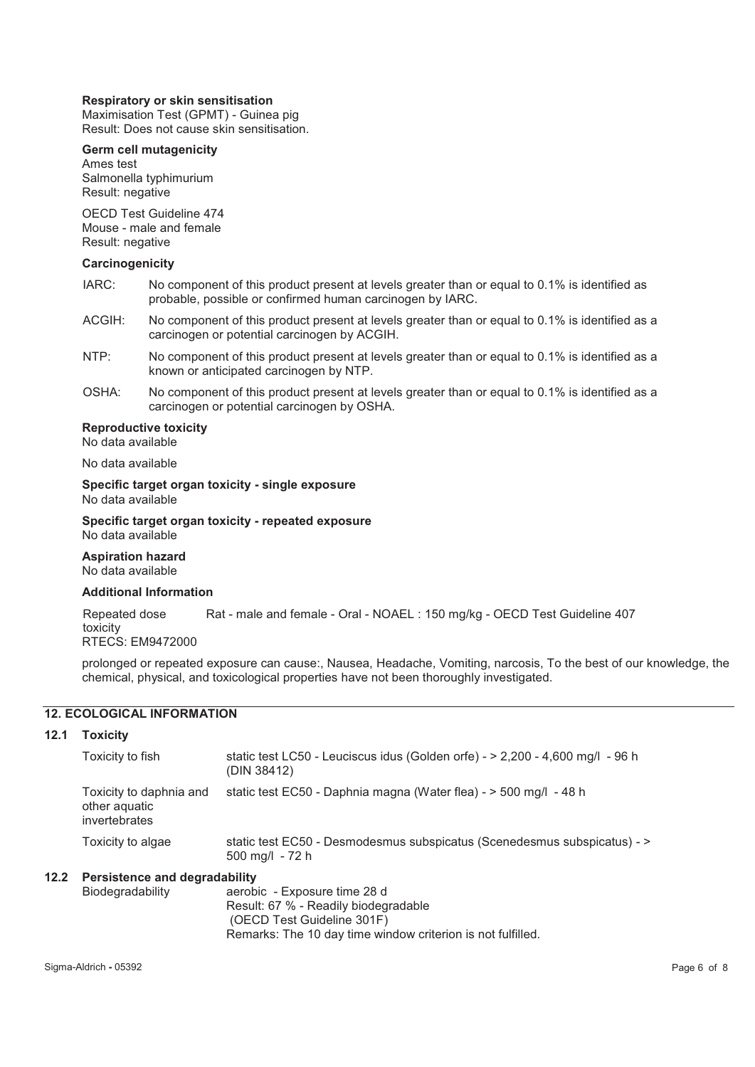## **Respiratory or skin sensitisation**

Maximisation Test (GPMT) - Guinea pig Result: Does not cause skin sensitisation.

## **Germ cell mutagenicity**

Ames test Salmonella typhimurium Result: negative

OECD Test Guideline 474 Mouse - male and female Result: negative

#### **Carcinogenicity**

- IARC: No component of this product present at levels greater than or equal to 0.1% is identified as probable, possible or confirmed human carcinogen by IARC.
- ACGIH: No component of this product present at levels greater than or equal to 0.1% is identified as a carcinogen or potential carcinogen by ACGIH.
- NTP: No component of this product present at levels greater than or equal to 0.1% is identified as a known or anticipated carcinogen by NTP.
- OSHA: No component of this product present at levels greater than or equal to 0.1% is identified as a carcinogen or potential carcinogen by OSHA.

## **Reproductive toxicity**

No data available

No data available

#### **Specific target organ toxicity - single exposure**  No data available

**Specific target organ toxicity - repeated exposure** 

No data available

**Aspiration hazard**  No data available

## **Additional Information**

Repeated dose toxicity Rat - male and female - Oral - NOAEL : 150 mg/kg - OECD Test Guideline 407

RTECS: EM9472000

prolonged or repeated exposure can cause:, Nausea, Headache, Vomiting, narcosis, To the best of our knowledge, the chemical, physical, and toxicological properties have not been thoroughly investigated.

# **12. ECOLOGICAL INFORMATION**

#### **12.1 Toxicity**

|      | Toxicity to fish                                          | static test LC50 - Leuciscus idus (Golden orfe) - > 2,200 - 4,600 mg/l - 96 h<br>(DIN 38412) |
|------|-----------------------------------------------------------|----------------------------------------------------------------------------------------------|
|      | Toxicity to daphnia and<br>other aquatic<br>invertebrates | static test EC50 - Daphnia magna (Water flea) - > 500 mg/l - 48 h                            |
|      | Toxicity to algae                                         | static test EC50 - Desmodesmus subspicatus (Scenedesmus subspicatus) - ><br>500 mg/l - 72 h  |
| 12.2 | <b>Persistence and degradability</b>                      |                                                                                              |

| Biodegradability | aerobic - Exposure time 28 d                                |
|------------------|-------------------------------------------------------------|
|                  | Result: 67 % - Readily biodegradable                        |
|                  | (OECD Test Guideline 301F)                                  |
|                  | Remarks: The 10 day time window criterion is not fulfilled. |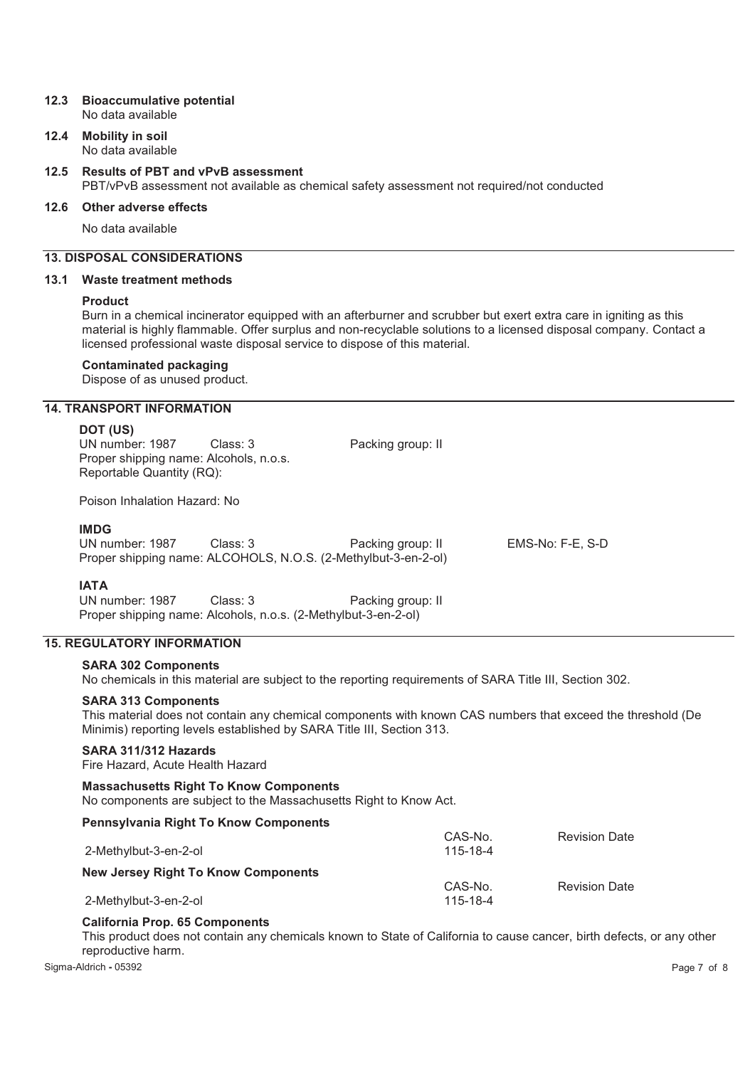#### **12.3 Bioaccumulative potential**  No data available

**12.4 Mobility in soil** 

No data available

# **12.5 Results of PBT and vPvB assessment**  PBT/vPvB assessment not available as chemical safety assessment not required/not conducted

# **12.6 Other adverse effects**

No data available

# **13. DISPOSAL CONSIDERATIONS**

## **13.1 Waste treatment methods**

## **Product**

Burn in a chemical incinerator equipped with an afterburner and scrubber but exert extra care in igniting as this material is highly flammable. Offer surplus and non-recyclable solutions to a licensed disposal company. Contact a licensed professional waste disposal service to dispose of this material.

## **Contaminated packaging**

Dispose of as unused product.

# **14. TRANSPORT INFORMATION**

## **DOT (US)**

| UN number: 1987<br>Proper shipping name: Alcohols, n.o.s.<br>Reportable Quantity (RQ): | Class: 3                                                                   | Packing group: II |                  |  |
|----------------------------------------------------------------------------------------|----------------------------------------------------------------------------|-------------------|------------------|--|
| Poison Inhalation Hazard: No                                                           |                                                                            |                   |                  |  |
| <b>IMDG</b><br>UN number: 1987                                                         | Class: 3<br>Proper shipping name: ALCOHOLS, N.O.S. (2-Methylbut-3-en-2-ol) | Packing group: II | EMS-No: F-E. S-D |  |
| <b>IATA</b>                                                                            |                                                                            |                   |                  |  |

UN number: 1987 Class: 3 Packing group: II Proper shipping name: Alcohols, n.o.s. (2-Methylbut-3-en-2-ol)

# **15. REGULATORY INFORMATION**

# **SARA 302 Components**

No chemicals in this material are subject to the reporting requirements of SARA Title III, Section 302.

# **SARA 313 Components**

This material does not contain any chemical components with known CAS numbers that exceed the threshold (De Minimis) reporting levels established by SARA Title III, Section 313.

## **SARA 311/312 Hazards**

Fire Hazard, Acute Health Hazard

**Massachusetts Right To Know Components**  No components are subject to the Massachusetts Right to Know Act.

| <b>Pennsylvania Right To Know Components</b> |          |                      |
|----------------------------------------------|----------|----------------------|
|                                              | CAS-No.  | <b>Revision Date</b> |
| 2-Methylbut-3-en-2-ol                        | 115-18-4 |                      |
| <b>New Jersey Right To Know Components</b>   |          |                      |
|                                              | CAS-No.  | <b>Revision Date</b> |
| 2-Methylbut-3-en-2-ol                        | 115-18-4 |                      |

# **California Prop. 65 Components**

This product does not contain any chemicals known to State of California to cause cancer, birth defects, or any other reproductive harm.

Sigma-Aldrich **-** 05392 Page 7 of 8